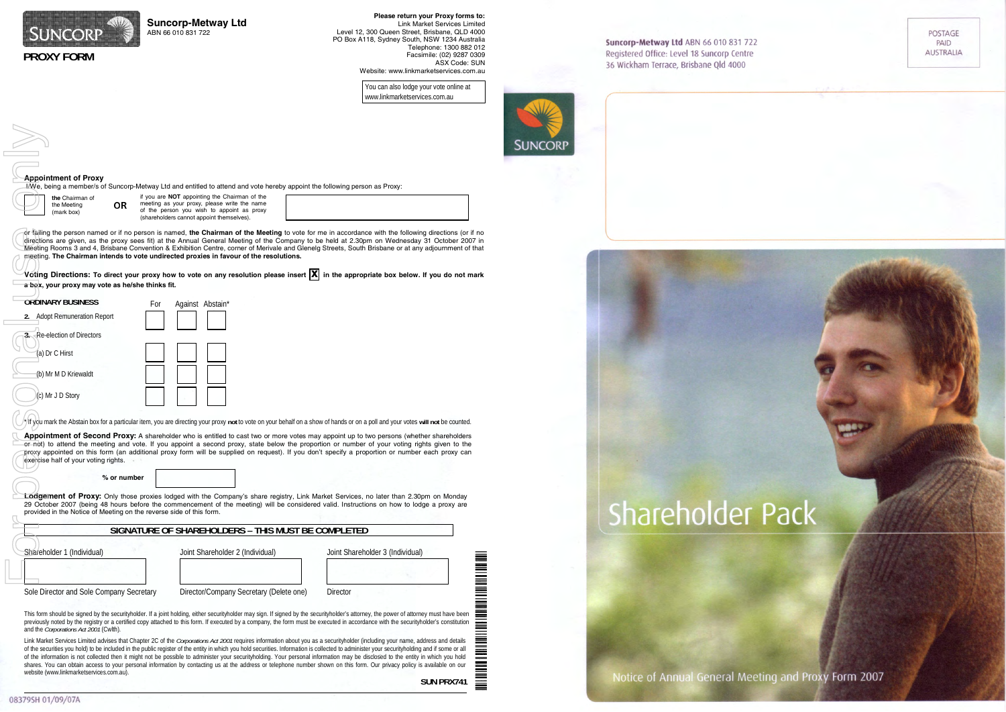**SUN PRX741**



POSTAGE<br>PAID<br>AUSTRALIA

Notice of Annual General Meeting and Proxy Form 2007

| SUNCORP<br><b>PROXY FORM</b>                                                                                                   | <b>Suncorp-Metway Ltd</b><br>ABN 66 010 831 722                                                                                                                                                                                                                                                                                                                                                                                                                                                                                                                                                                                                                                                                                                                                                                                                                                                                                                                                                                                                                                                                                   | Please return your Proxy forms to:<br><b>Link Market Services Limited</b><br>Level 12, 300 Queen Street, Brisbane, QLD 4000<br>PO Box A118, Sydney South, NSW 1234 Australia<br>Telephone: 1300 882 012<br>Facsimile: (02) 9287 0309<br>ASX Code: SUN<br>Website: www.linkmarketservices.com.au<br>You can also lodge your vote online at<br>www.linkmarketservices.com.au                                                                                                                                                                                                                                                  | Suncorp-Metway Ltd ABN 66 010 831 722<br>Registered Office: Level 18 Suncorp Centre<br>36 Wickham Terrace, Brisbane Qld 4000 |
|--------------------------------------------------------------------------------------------------------------------------------|-----------------------------------------------------------------------------------------------------------------------------------------------------------------------------------------------------------------------------------------------------------------------------------------------------------------------------------------------------------------------------------------------------------------------------------------------------------------------------------------------------------------------------------------------------------------------------------------------------------------------------------------------------------------------------------------------------------------------------------------------------------------------------------------------------------------------------------------------------------------------------------------------------------------------------------------------------------------------------------------------------------------------------------------------------------------------------------------------------------------------------------|-----------------------------------------------------------------------------------------------------------------------------------------------------------------------------------------------------------------------------------------------------------------------------------------------------------------------------------------------------------------------------------------------------------------------------------------------------------------------------------------------------------------------------------------------------------------------------------------------------------------------------|------------------------------------------------------------------------------------------------------------------------------|
| <b>Appointment of Proxy</b><br>the Chairman of<br><b>OR</b><br>the Meeting<br>(mark box)                                       | IAMe, being a member/s of Suncorp-Metway Ltd and entitled to attend and vote hereby appoint the following person as Proxy:<br>if you are NOT appointing the Chairman of the<br>meeting as your proxy, please write the name<br>of the person you wish to appoint as proxy<br>(shareholders cannot appoint themselves).                                                                                                                                                                                                                                                                                                                                                                                                                                                                                                                                                                                                                                                                                                                                                                                                            |                                                                                                                                                                                                                                                                                                                                                                                                                                                                                                                                                                                                                             | <b>SUNCORP</b>                                                                                                               |
| a box, your proxy may vote as he/she thinks fit.                                                                               | meeting. The Chairman intends to vote undirected proxies in favour of the resolutions.                                                                                                                                                                                                                                                                                                                                                                                                                                                                                                                                                                                                                                                                                                                                                                                                                                                                                                                                                                                                                                            | or failing the person named or if no person is named, the Chairman of the Meeting to vote for me in accordance with the following directions (or if no<br>directions are given, as the proxy sees fit) at the Annual General Meeting of the Company to be held at 2.30pm on Wednesday 31 October 2007 in<br>Meeting Rooms 3 and 4, Brisbane Convention & Exhibition Centre, corner of Merivale and Glenelg Streets, South Brisbane or at any adjournment of that<br>$\check{\;}$ Voting Directions: To direct your proxy how to vote on any resolution please insert $ X $ in the appropriate box below. If you do not mark |                                                                                                                              |
| <b>ORDINARY BUSINESS</b><br>2. Adopt Remuneration Report<br>Re-election of Directors<br>(a) Dr C Hirst<br>(b) Mr M D Kriewaldt | Against Abstain*<br>For                                                                                                                                                                                                                                                                                                                                                                                                                                                                                                                                                                                                                                                                                                                                                                                                                                                                                                                                                                                                                                                                                                           |                                                                                                                                                                                                                                                                                                                                                                                                                                                                                                                                                                                                                             |                                                                                                                              |
| (c) Mr J D Story                                                                                                               | /If you mark the Abstain box for a particular item, you are directing your proxy not to vote on your behalf on a show of hands or on a poll and your votes will not be counted.<br>Appointment of Second Proxy: A shareholder who is entitled to cast two or more votes may appoint up to two persons (whether shareholders<br>or not) to attend the meeting and vote. If you appoint a second proxy, state below the proportion or number of your voting rights given to the<br>proxy appointed on this form (an additional proxy form will be supplied on request). If you don't specify a proportion or number each proxy can                                                                                                                                                                                                                                                                                                                                                                                                                                                                                                  |                                                                                                                                                                                                                                                                                                                                                                                                                                                                                                                                                                                                                             |                                                                                                                              |
| exercise half of your voting rights.<br>% or number<br>provided in the Notice of Meeting on the reverse side of this form.     | <b>Lodgement of Proxy:</b> Only those proxies lodged with the Company's share registry, Link Market Services, no later than 2.30pm on Monday<br>29 October 2007 (being 48 hours before the commencement of the meeting) will be considered valid. Instructions on how to lodge a proxy are                                                                                                                                                                                                                                                                                                                                                                                                                                                                                                                                                                                                                                                                                                                                                                                                                                        |                                                                                                                                                                                                                                                                                                                                                                                                                                                                                                                                                                                                                             | Shareholder                                                                                                                  |
| Shareholder 1 (Individual)<br>Sole Director and Sole Company Secretary                                                         | SIGNATURE OF SHAREHOLDERS - THIS MUST BE COMPLETED<br>Joint Shareholder 2 (Individual)<br>Director/Company Secretary (Delete one)                                                                                                                                                                                                                                                                                                                                                                                                                                                                                                                                                                                                                                                                                                                                                                                                                                                                                                                                                                                                 | Joint Shareholder 3 (Individual)<br><b>NOTE: NOTE: NOTE: NOTE: NOTE: NOTE: NOTE: NO</b><br><b>Director</b>                                                                                                                                                                                                                                                                                                                                                                                                                                                                                                                  |                                                                                                                              |
| and the Corporations Act 2001 (Cwlth).<br>website (www.linkmarketservices.com.au).                                             | This form should be signed by the securityholder. If a joint holding, either securityholder may sign. If signed by the securityholder's attorney, the power of attorney must have been<br>previously noted by the registry or a certified copy attached to this form. If executed by a company, the form must be executed in accordance with the securityholder's constitution<br>Link Market Services Limited advises that Chapter 2C of the Corporations Act 2001 requires information about you as a securityholder (including your name, address and details<br>of the securities you hold) to be included in the public register of the entity in which you hold securities. Information is collected to administer your securityholding and if some or all<br>of the information is not collected then it might not be possible to administer your securityholding. Your personal information may be disclosed to the entity in which you hold<br>shares. You can obtain access to your personal information by contacting us at the address or telephone number shown on this form. Our privacy policy is available on our | 亖<br>$\qquad \qquad \qquad =$                                                                                                                                                                                                                                                                                                                                                                                                                                                                                                                                                                                               |                                                                                                                              |